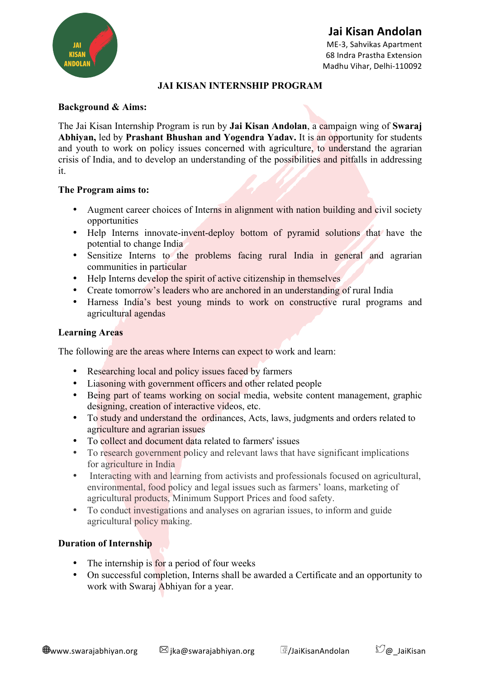

# **Jai Kisan Andolan**

ME-3, Sahvikas Apartment 68 Indra Prastha Extension Madhu Vihar, Delhi-110092

# **JAI KISAN INTERNSHIP PROGRAM**

# **Background & Aims:**

The Jai Kisan Internship Program is run by **Jai Kisan Andolan**, a campaign wing of **Swaraj Abhiyan,** led by **Prashant Bhushan and Yogendra Yadav.** It is an opportunity for students and youth to work on policy issues concerned with agriculture, to understand the agrarian crisis of India, and to develop an understanding of the possibilities and pitfalls in addressing it.

#### **The Program aims to:**

- Augment career choices of Interns in alignment with nation building and civil society opportunities
- Help Interns innovate-invent-deploy bottom of pyramid solutions that have the potential to change India
- Sensitize Interns to the problems facing rural India in general and agrarian communities in particular
- Help Interns develop the spirit of active citizenship in themselves
- Create tomorrow's leaders who are anchored in an understanding of rural India
- Harness India's best young minds to work on constructive rural programs and agricultural agendas

## **Learning Areas**

The following are the areas where Interns can expect to work and learn:

- Researching local and policy issues faced by farmers
- Liasoning with government officers and other related people
- Being part of teams working on social media, website content management, graphic designing, creation of interactive videos, etc.
- To study and understand the ordinances, Acts, laws, judgments and orders related to agriculture and agrarian issues
- To collect and document data related to farmers' issues
- To research government policy and relevant laws that have significant implications for agriculture in India
- Interacting with and learning from activists and professionals focused on agricultural, environmental, food policy and legal issues such as farmers' loans, marketing of agricultural products, Minimum Support Prices and food safety.
- To conduct investigations and analyses on agrarian issues, to inform and guide agricultural policy making.

# **Duration of Internship**

- The internship is for a period of four weeks
- On successful completion, Interns shall be awarded a Certificate and an opportunity to work with Swaraj Abhiyan for a year.